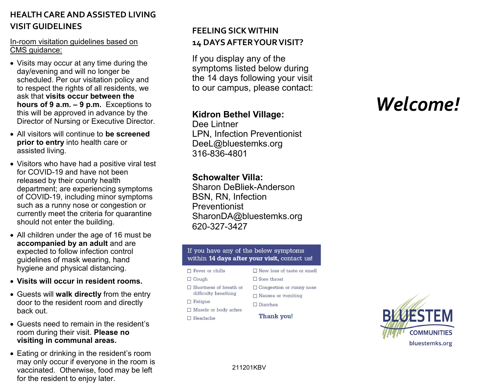## **HEALTH CARE AND ASSISTED LIVING VISIT GUIDELINES**

### In-room visitation guidelines based on CMS guidance:

- Visits may occur at any time during the day/evening and will no longer be scheduled. Per our visitation policy and to respect the rights of all residents, we ask that **visits occur between the hours of 9 a.m. – 9 p.m.** Exceptions to this will be approved in advance by the Director of Nursing or Executive Director.
- All visitors will continue to **be screened prior to entry** into health care or assisted living.
- Visitors who have had a positive viral test for COVID-19 and have not been released by their county health department; are experiencing symptoms of COVID-19, including minor symptoms such as a runny nose or congestion or currently meet the criteria for quarantine should not enter the building.
- All children under the age of 16 must be **accompanied by an adult** and are expected to follow infection control guidelines of mask wearing, hand hygiene and physical distancing.
- **Visits will occur in resident rooms.**
- Guests will **walk directly** from the entry door to the resident room and directly back out.
- Guests need to remain in the resident's room during their visit. **Please no visiting in communal areas.**
- Eating or drinking in the resident's room may only occur if everyone in the room is vaccinated. Otherwise, food may be left for the resident to enjoy later.

## **FEELING SICK WITHIN 14 DAYS AFTER YOUR VISIT?**

If you display any of the symptoms listed below during the 14 days following your visit to our campus, please contact:

## **Kidron Bethel Village:**

Dee Lintner LPN, Infection Preventionist DeeL@bluestemks.org 316-836-4801

## **Schowalter Villa:**

Sharon DeBliek-Anderson BSN, RN, Infection Preventionist SharonDA@bluestemks.org 620-327-3427

### If you have any of the below symptoms within 14 days after your visit, contact us!

#### $\Box$  Fever or chills  $\Box$  Cough  $\Box$  Shortness of breath or difficulty breathing  $\Box$  Fatigue

- $\Box$  Muscle or body aches
- $\Box$  Headache

### □ Congestion or runny nose  $\Box$  Nausea or vomiting  $\Box$  Diarrhea

 $\Box$  Sore throat

 $\Box$  New loss of taste or smell

Thank you!

# *Welcome!*



211201KBV